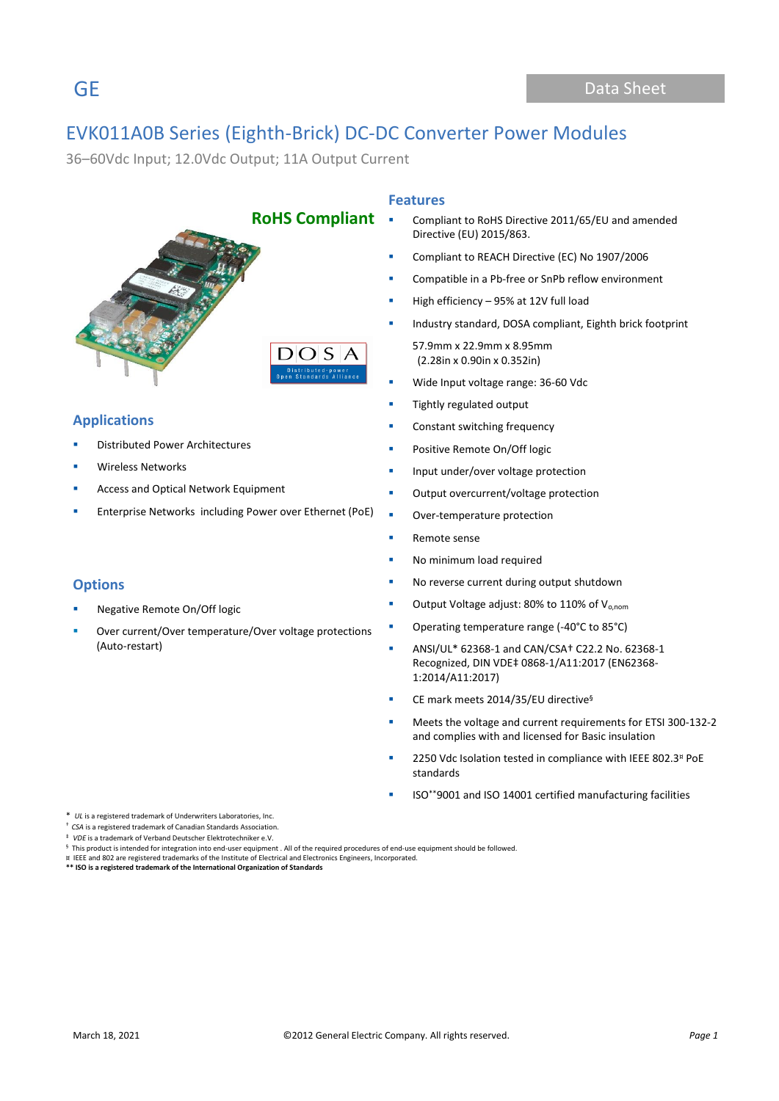36–60Vdc Input; 12.0Vdc Output; 11A Output Current



# **Applications**

- **Distributed Power Architectures**
- Wireless Networks
- Access and Optical Network Equipment
- Enterprise Networks including Power over Ethernet (PoE)

### **Options**

- Negative Remote On/Off logic
- Over current/Over temperature/Over voltage protections (Auto-restart)

### **Features**

- Compliant to RoHS Directive 2011/65/EU and amended Directive (EU) 2015/863.
- Compliant to REACH Directive (EC) No 1907/2006
- Compatible in a Pb-free or SnPb reflow environment
- High efficiency  $-95%$  at 12V full load
- Industry standard, DOSA compliant, Eighth brick footprint

 57.9mm x 22.9mm x 8.95mm (2.28in x 0.90in x 0.352in)

- Wide Input voltage range: 36-60 Vdc
- **■** Tightly regulated output
- Constant switching frequency
- **•** Positive Remote On/Off logic
- **·** Input under/over voltage protection
- Output overcurrent/voltage protection
- Over-temperature protection
- Remote sense
- **■** No minimum load required
- No reverse current during output shutdown
- Output Voltage adjust: 80% to 110% of V<sub>o,nom</sub>
- Operating temperature range (-40°C to 85°C)
- ANSI/UL\* 62368-1 and CAN/CSA† C22.2 No. 62368-1 Recognized, DIN VDE‡ 0868-1/A11:2017 (EN62368- 1:2014/A11:2017)
- CE mark meets 2014/35/EU directive<sup>§</sup>
- Meets the voltage and current requirements for ETSI 300-132-2 and complies with and licensed for Basic insulation
- 2250 Vdc Isolation tested in compliance with IEEE 802.3<sup>¤</sup> PoE standards
- ISO\*\*9001 and ISO 14001 certified manufacturing facilities

\* *UL* is a registered trademark of Underwriters Laboratories, Inc.

† *CSA* is a registered trademark of Canadian Standards Association.

‡ *VDE* is a trademark of Verband Deutscher Elektrotechniker e.V.

¤ IEEE and 802 are registered trademarks of the Institute of Electrical and Electronics Engineers, Incorporated. **\*\* ISO is a registered trademark of the International Organization of Standards**

 $§$  This product is intended for integration into end-user equipment . All of the required procedures of end-use equipment should be followed.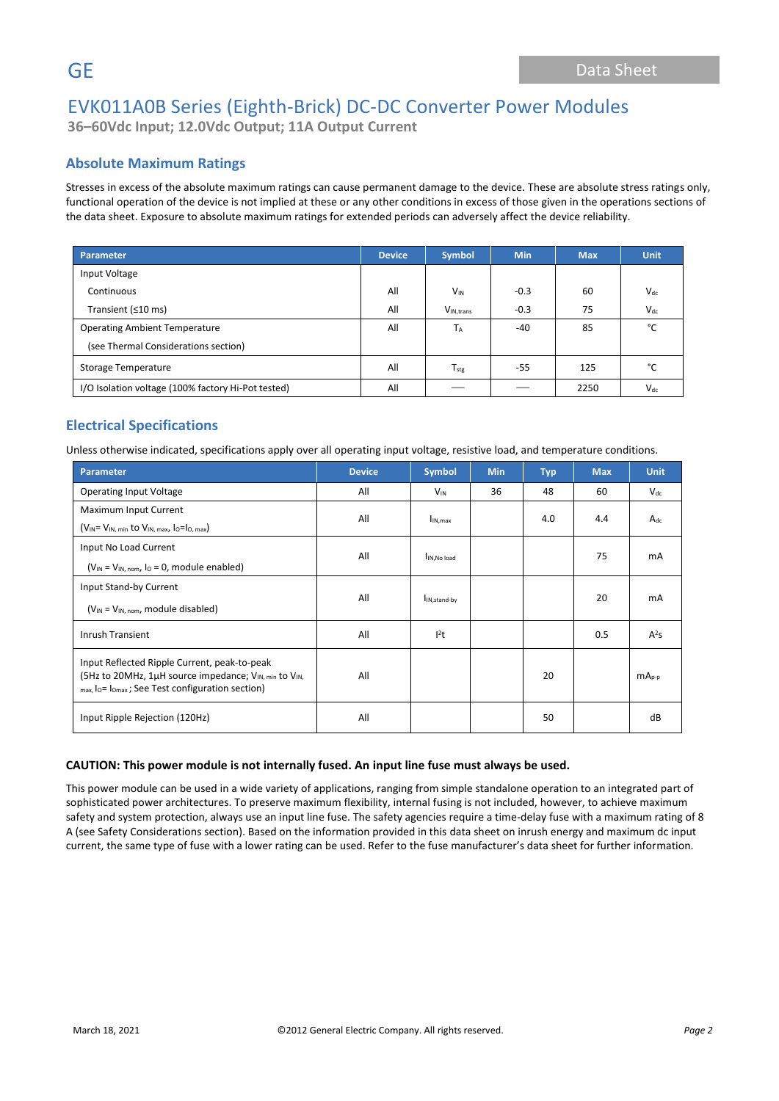**36–60Vdc Input; 12.0Vdc Output; 11A Output Current**

# **Absolute Maximum Ratings**

Stresses in excess of the absolute maximum ratings can cause permanent damage to the device. These are absolute stress ratings only, functional operation of the device is not implied at these or any other conditions in excess of those given in the operations sections of the data sheet. Exposure to absolute maximum ratings for extended periods can adversely affect the device reliability.

| <b>Parameter</b>                                   | <b>Device</b> | <b>Symbol</b>         | <b>Min</b> | <b>Max</b> | <b>Unit</b> |
|----------------------------------------------------|---------------|-----------------------|------------|------------|-------------|
| Input Voltage                                      |               |                       |            |            |             |
| Continuous                                         | All           | $V_{IN}$              | $-0.3$     | 60         | $V_{dc}$    |
| Transient (≤10 ms)                                 | All           | V <sub>IN.trans</sub> | $-0.3$     | 75         | $V_{dc}$    |
| <b>Operating Ambient Temperature</b>               | All           | TA                    | -40        | 85         | °C          |
| (see Thermal Considerations section)               |               |                       |            |            |             |
| <b>Storage Temperature</b>                         | All           | $T_{\text{stg}}$      | -55        | 125        | °C          |
| I/O Isolation voltage (100% factory Hi-Pot tested) | All           |                       |            | 2250       | $V_{dc}$    |

# **Electrical Specifications**

Unless otherwise indicated, specifications apply over all operating input voltage, resistive load, and temperature conditions.

| <b>Parameter</b>                                                                                                                                                                                                | <b>Device</b> | <b>Symbol</b>            | <b>Min</b> | <b>Typ</b> | <b>Max</b> | <b>Unit</b> |
|-----------------------------------------------------------------------------------------------------------------------------------------------------------------------------------------------------------------|---------------|--------------------------|------------|------------|------------|-------------|
| <b>Operating Input Voltage</b>                                                                                                                                                                                  | All           | $V_{IN}$                 | 36         | 48         | 60         | $V_{dc}$    |
| Maximum Input Current                                                                                                                                                                                           | All           | $I_{IN,max}$             |            | 4.0        | 4.4        | $A_{dc}$    |
| $(V_{IN} = V_{IN, min}$ to $V_{IN, max}$ , $I_0 = I_0$ , max)                                                                                                                                                   |               |                          |            |            |            |             |
| Input No Load Current                                                                                                                                                                                           | All           |                          |            |            | 75         | mA          |
| $(V_{IN} = V_{IN. nom. IO} = 0$ , module enabled)                                                                                                                                                               |               | IIN.No load              |            |            |            |             |
| Input Stand-by Current                                                                                                                                                                                          |               |                          |            |            |            |             |
| $(V_{IN} = V_{IN, nom}$ , module disabled)                                                                                                                                                                      | All           | I <sub>IN,stand-by</sub> |            |            | 20         | mA          |
| <b>Inrush Transient</b>                                                                                                                                                                                         | All           | $l^2t$                   |            |            | 0.5        | $A^2S$      |
| Input Reflected Ripple Current, peak-to-peak<br>(5Hz to 20MHz, 1µH source impedance; V <sub>IN, min</sub> to V <sub>IN,</sub><br>$_{max.}$ l <sub>o</sub> = l <sub>omax</sub> ; See Test configuration section) | All           |                          |            | 20         |            | $mAp-p$     |
| Input Ripple Rejection (120Hz)                                                                                                                                                                                  | All           |                          |            | 50         |            | dB          |

### **CAUTION: This power module is not internally fused. An input line fuse must always be used.**

This power module can be used in a wide variety of applications, ranging from simple standalone operation to an integrated part of sophisticated power architectures. To preserve maximum flexibility, internal fusing is not included, however, to achieve maximum safety and system protection, always use an input line fuse. The safety agencies require a time-delay fuse with a maximum rating of 8 A (see Safety Considerations section). Based on the information provided in this data sheet on inrush energy and maximum dc input current, the same type of fuse with a lower rating can be used. Refer to the fuse manufacturer's data sheet for further information.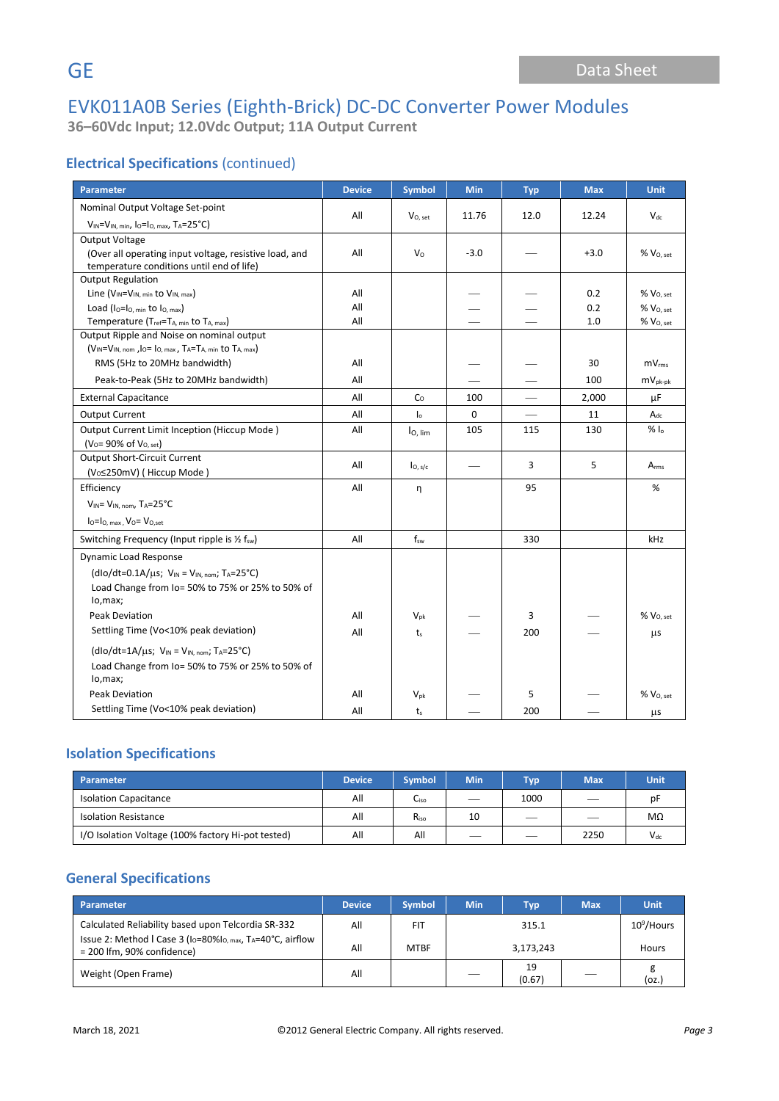# EVK011A0B Series (Eighth-Brick) DC-DC Converter Power Modules **36–60Vdc Input; 12.0Vdc Output; 11A Output Current**

# **Electrical Specifications** (continued)

| <b>Parameter</b>                                                                                                             | <b>Device</b> | <b>Symbol</b>       | <b>Min</b> | <b>Typ</b> | <b>Max</b> | <b>Unit</b>           |
|------------------------------------------------------------------------------------------------------------------------------|---------------|---------------------|------------|------------|------------|-----------------------|
| Nominal Output Voltage Set-point                                                                                             |               |                     |            |            |            |                       |
| $V_{IN} = V_{IN, min}$ , lo=lo, max, TA=25°C)                                                                                | All           | $V_{O, set}$        | 11.76      | 12.0       | 12.24      | $V_{dc}$              |
| Output Voltage                                                                                                               |               |                     |            |            |            |                       |
| (Over all operating input voltage, resistive load, and                                                                       | All           | V <sub>o</sub>      | $-3.0$     |            | $+3.0$     | % Vo, set             |
| temperature conditions until end of life)                                                                                    |               |                     |            |            |            |                       |
| <b>Output Regulation</b>                                                                                                     |               |                     |            |            |            |                       |
| Line (V <sub>IN</sub> =V <sub>IN, min</sub> to V <sub>IN, max</sub> )                                                        | All           |                     |            |            | 0.2        | % Vo, set             |
| Load ( $I_0 = I_0$ , min to $I_0$ , max)                                                                                     | All           |                     |            |            | 0.2        | $%$ $V0. set$         |
| Temperature (Tref=TA, min to TA, max)                                                                                        | All           |                     |            |            | 1.0        | % V <sub>O, set</sub> |
| Output Ripple and Noise on nominal output<br>$(V_{IN} = V_{IN, nom}, I_{O} = I_{O, max}, T_A = T_{A, min}$ to $T_{A, max}$ ) |               |                     |            |            |            |                       |
| RMS (5Hz to 20MHz bandwidth)                                                                                                 | All           |                     |            |            | 30         | $mV_{rms}$            |
|                                                                                                                              |               |                     |            |            |            |                       |
| Peak-to-Peak (5Hz to 20MHz bandwidth)                                                                                        | All           |                     |            |            | 100        | $mV_{pk-pk}$          |
| <b>External Capacitance</b>                                                                                                  | All           | Co                  | 100        |            | 2,000      | μF                    |
| <b>Output Current</b>                                                                                                        | All           | I <sub>o</sub>      | $\Omega$   |            | 11         | $A_{dc}$              |
| Output Current Limit Inception (Hiccup Mode)                                                                                 | All           | $I_{\text{O. lim}}$ | 105        | 115        | 130        | % $I_0$               |
| $(V_0 = 90\% \text{ of } V_{0, \text{ set}})$                                                                                |               |                     |            |            |            |                       |
| <b>Output Short-Circuit Current</b>                                                                                          | All           | I <sub>O, s/c</sub> |            | 3          | 5          | $A_{rms}$             |
| (V <sub>o</sub> ≤250mV) (Hiccup Mode)                                                                                        |               |                     |            |            |            |                       |
| Efficiency                                                                                                                   | All           | n                   |            | 95         |            | %                     |
| $V_{IN} = V_{IN. nom}$ , TA=25°C                                                                                             |               |                     |            |            |            |                       |
| $IO=IO. max$ , $VO=VO. set$                                                                                                  |               |                     |            |            |            |                       |
| Switching Frequency (Input ripple is 1/2 f <sub>sw</sub> )                                                                   | All           | $f_{sw}$            |            | 330        |            | kHz                   |
| <b>Dynamic Load Response</b>                                                                                                 |               |                     |            |            |            |                       |
| (dlo/dt=0.1A/ $\mu$ s; V <sub>IN</sub> = V <sub>IN.nom</sub> ; T <sub>A</sub> =25°C)                                         |               |                     |            |            |            |                       |
| Load Change from Io= 50% to 75% or 25% to 50% of                                                                             |               |                     |            |            |            |                       |
| lo, max;                                                                                                                     |               |                     |            |            |            |                       |
| <b>Peak Deviation</b>                                                                                                        | All           | $V_{\text{pk}}$     |            | 3          |            | $% V_{O, set}$        |
| Settling Time (Vo<10% peak deviation)                                                                                        | All           | $t_{s}$             |            | 200        |            | μs                    |
| $(dlo/dt=1A/\mu s; VIN = VIN, nom; TA=25°C)$                                                                                 |               |                     |            |            |            |                       |
| Load Change from Io= 50% to 75% or 25% to 50% of                                                                             |               |                     |            |            |            |                       |
| lo,max;                                                                                                                      |               |                     |            |            |            |                       |
| <b>Peak Deviation</b>                                                                                                        | All           | $V_{pk}$            |            | 5          |            | % V <sub>O, set</sub> |
| Settling Time (Vo<10% peak deviation)                                                                                        | All           | $t_{s}$             |            | 200        |            | μs                    |

# **Isolation Specifications**

| Parameter                                          | <b>Device</b> | <b>Symbol</b> | <b>Min</b> | <b>Typ</b> | <b>Max</b> | <b>Unit</b> |
|----------------------------------------------------|---------------|---------------|------------|------------|------------|-------------|
| <b>Isolation Capacitance</b>                       | All           | Liso          |            | 1000       |            | рF          |
| <b>Isolation Resistance</b>                        | All           | $R_{iso}$     | 10         |            |            | MΩ          |
| I/O Isolation Voltage (100% factory Hi-pot tested) | All           | All           |            |            | 2250       | $V_{dc}$    |

## **General Specifications**

| <b>Parameter</b>                                                                                                                                       | <b>Device</b> | <b>Symbol</b> | <b>Min</b> | <b>Typ</b>   | <b>Max</b>    | <b>Unit</b> |
|--------------------------------------------------------------------------------------------------------------------------------------------------------|---------------|---------------|------------|--------------|---------------|-------------|
| Calculated Reliability based upon Telcordia SR-332<br>Issue 2: Method I Case 3 (I <sub>O</sub> =80%I <sub>O, max</sub> , T <sub>A</sub> =40°C, airflow | All           | <b>FIT</b>    | 315.1      |              | $10^9$ /Hours |             |
| $= 200$ lfm, 90% confidence)                                                                                                                           | All           | <b>MTBF</b>   | 3,173,243  |              |               | Hours       |
| Weight (Open Frame)                                                                                                                                    | All           |               |            | 19<br>(0.67) |               | (oz.)       |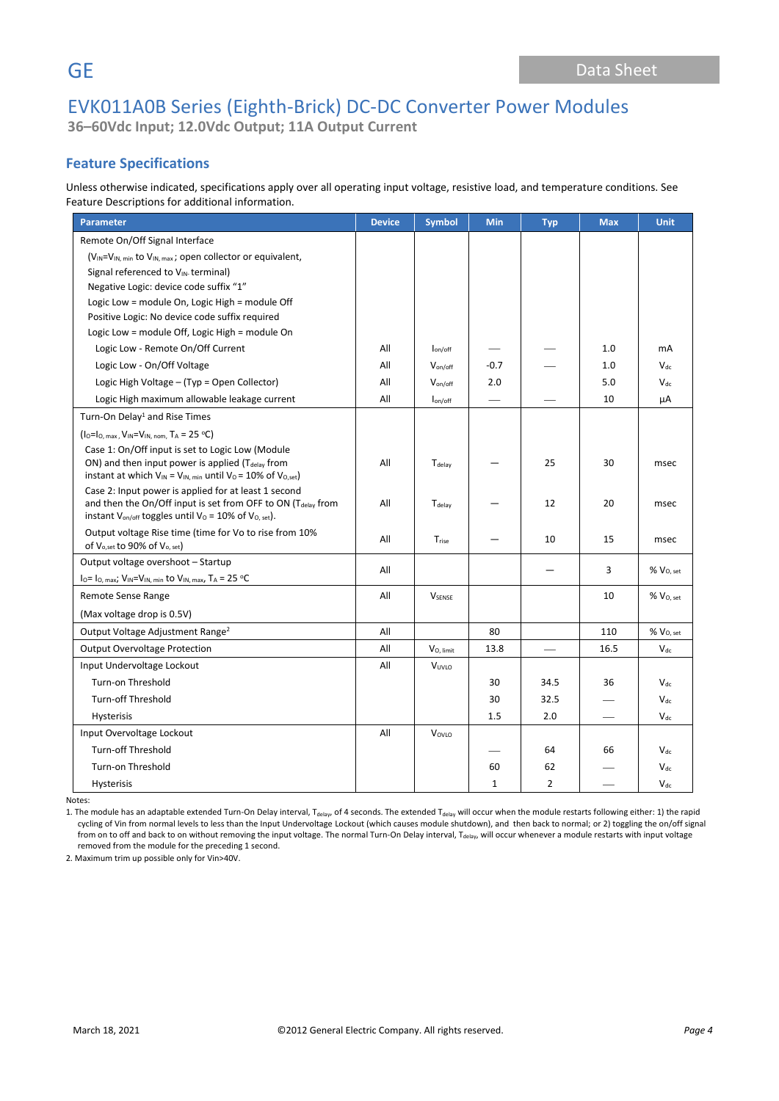# EVK011A0B Series (Eighth-Brick) DC-DC Converter Power Modules **36–60Vdc Input; 12.0Vdc Output; 11A Output Current**

# **Feature Specifications**

Unless otherwise indicated, specifications apply over all operating input voltage, resistive load, and temperature conditions. See Feature Descriptions for additional information.

| <b>Parameter</b>                                                                                                                 | <b>Device</b> | <b>Symbol</b>              | <b>Min</b>  | <b>Typ</b>      | <b>Max</b> | <b>Unit</b>           |
|----------------------------------------------------------------------------------------------------------------------------------|---------------|----------------------------|-------------|-----------------|------------|-----------------------|
| Remote On/Off Signal Interface                                                                                                   |               |                            |             |                 |            |                       |
| $(V_{IN} = V_{IN. min}$ to $V_{IN. max}$ ; open collector or equivalent,                                                         |               |                            |             |                 |            |                       |
| Signal referenced to VIN-terminal)                                                                                               |               |                            |             |                 |            |                       |
| Negative Logic: device code suffix "1"                                                                                           |               |                            |             |                 |            |                       |
| Logic Low = module On, Logic High = module Off                                                                                   |               |                            |             |                 |            |                       |
| Positive Logic: No device code suffix required                                                                                   |               |                            |             |                 |            |                       |
| Logic Low = module Off, Logic High = module On                                                                                   |               |                            |             |                 |            |                       |
| Logic Low - Remote On/Off Current                                                                                                | All           | $I_{on/off}$               |             |                 | 1.0        | mA                    |
| Logic Low - On/Off Voltage                                                                                                       | All           | $V_{on/off}$               | $-0.7$      |                 | 1.0        | $V_{dc}$              |
| Logic High Voltage - (Typ = Open Collector)                                                                                      | All           | $V_{\text{on}/\text{off}}$ | 2.0         |                 | 5.0        | $V_{dc}$              |
| Logic High maximum allowable leakage current                                                                                     | All           | $I_{on/off}$               |             |                 | 10         | μA                    |
| Turn-On Delay <sup>1</sup> and Rise Times                                                                                        |               |                            |             |                 |            |                       |
| $(1_0=1_0,$ max, $V_{IN}=V_{IN,$ nom, $T_A = 25 °C)$                                                                             |               |                            |             |                 |            |                       |
| Case 1: On/Off input is set to Logic Low (Module                                                                                 |               |                            |             |                 |            |                       |
| ON) and then input power is applied (T <sub>delay</sub> from                                                                     | All           | Tdelay                     |             | 25              | 30         | msec                  |
| instant at which $V_{IN} = V_{IN, min}$ until $V_0 = 10\%$ of $V_{O, set}$ )                                                     |               |                            |             |                 |            |                       |
| Case 2: Input power is applied for at least 1 second<br>and then the On/Off input is set from OFF to ON (T <sub>delay</sub> from | All           | Tdelay                     |             | 12              | 20         | msec                  |
| instant V <sub>on/off</sub> toggles until V <sub>0</sub> = 10% of V <sub>0, set</sub> ).                                         |               |                            |             |                 |            |                       |
| Output voltage Rise time (time for Vo to rise from 10%                                                                           | All           |                            |             | 10              | 15         |                       |
| of $V_{o,set}$ to 90% of $V_{o,set}$                                                                                             |               | Trise                      |             |                 |            | msec                  |
| Output voltage overshoot - Startup                                                                                               | All           |                            |             |                 | 3          | %V <sub>0. set</sub>  |
| $I_0 = I_0$ , max; $V_{IN} = V_{IN}$ , min to $V_{IN}$ , max, $T_A = 25$ °C                                                      |               |                            |             |                 |            |                       |
| Remote Sense Range                                                                                                               | All           | <b>V</b> SENSE             |             |                 | 10         | % V <sub>0, set</sub> |
| (Max voltage drop is 0.5V)                                                                                                       |               |                            |             |                 |            |                       |
| Output Voltage Adjustment Range <sup>2</sup>                                                                                     | All           |                            | 80          |                 | 110        | $\%$ $V_{O, set}$     |
| <b>Output Overvoltage Protection</b>                                                                                             | All           | V <sub>O.</sub> limit      | 13.8        | $\qquad \qquad$ | 16.5       | $V_{dc}$              |
| Input Undervoltage Lockout                                                                                                       | All           | VUVLO                      |             |                 |            |                       |
| Turn-on Threshold                                                                                                                |               |                            | 30          | 34.5            | 36         | $V_{dc}$              |
| <b>Turn-off Threshold</b>                                                                                                        |               |                            | 30          | 32.5            |            | $V_{dc}$              |
| Hysterisis                                                                                                                       |               |                            | 1.5         | 2.0             |            | $V_{dc}$              |
| Input Overvoltage Lockout                                                                                                        | All           | VovLo                      |             |                 |            |                       |
| <b>Turn-off Threshold</b>                                                                                                        |               |                            |             | 64              | 66         | $V_{dc}$              |
| Turn-on Threshold                                                                                                                |               |                            | 60          | 62              |            | $V_{dc}$              |
| Hysterisis                                                                                                                       |               |                            | $\mathbf 1$ | $\overline{2}$  |            | $V_{dc}$              |

Notes:

1. The module has an adaptable extended Turn-On Delay interval, T<sub>delay</sub>, of 4 seconds. The extended T<sub>delay</sub> will occur when the module restarts following either: 1) the rapid cycling of Vin from normal levels to less than the Input Undervoltage Lockout (which causes module shutdown), and then back to normal; or 2) toggling the on/off signal from on to off and back to on without removing the input voltage. The normal Turn-On Delay interval, T<sub>delay</sub>, will occur whenever a module restarts with input voltage removed from the module for the preceding 1 second.

2. Maximum trim up possible only for Vin>40V.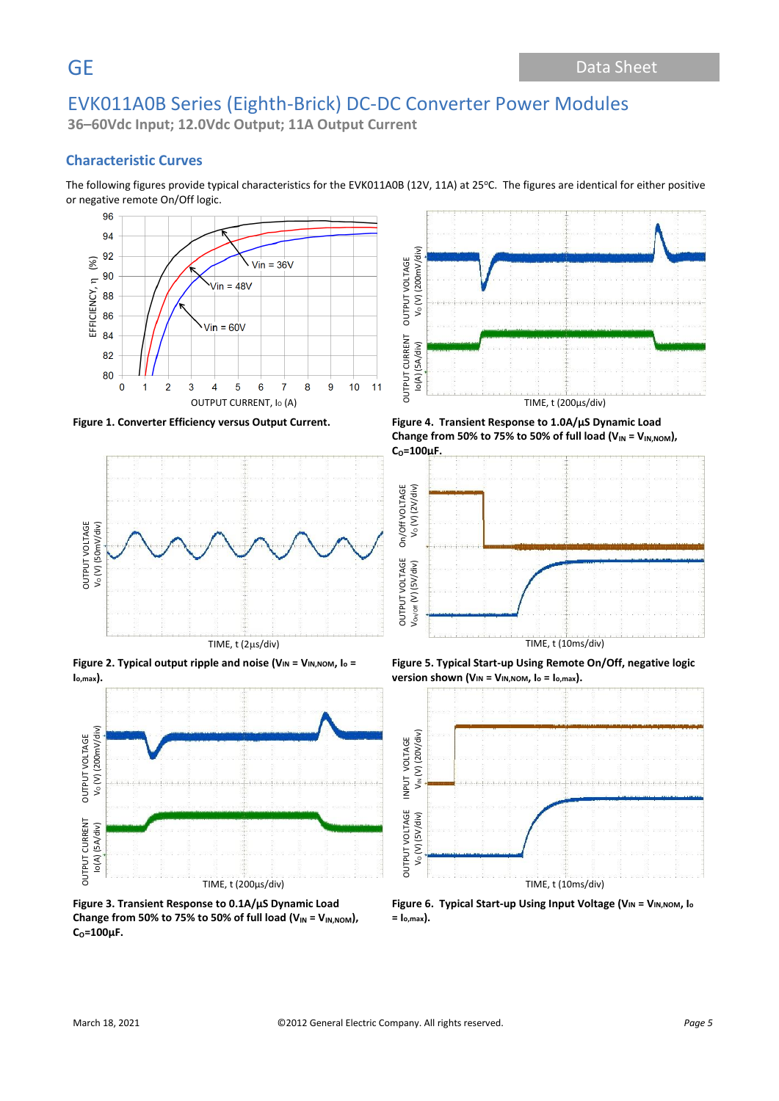**36–60Vdc Input; 12.0Vdc Output; 11A Output Current**

## **Characteristic Curves**

The following figures provide typical characteristics for the EVK011A0B (12V, 11A) at 25°C. The figures are identical for either positive or negative remote On/Off logic.





**Figure 2. Typical output ripple and noise (VIN = VIN,NOM, I<sup>o</sup> = Io,max).**



**Figure 3. Transient Response to 0.1A/µS Dynamic Load**  Change from 50% to 75% to 50% of full load  $(V_{IN} = V_{IN,NOM})$ , **CO=100µF.**











**Figure 6. Typical Start-up Using Input Voltage (VIN = VIN,NOM, I<sup>o</sup> = Io,max).**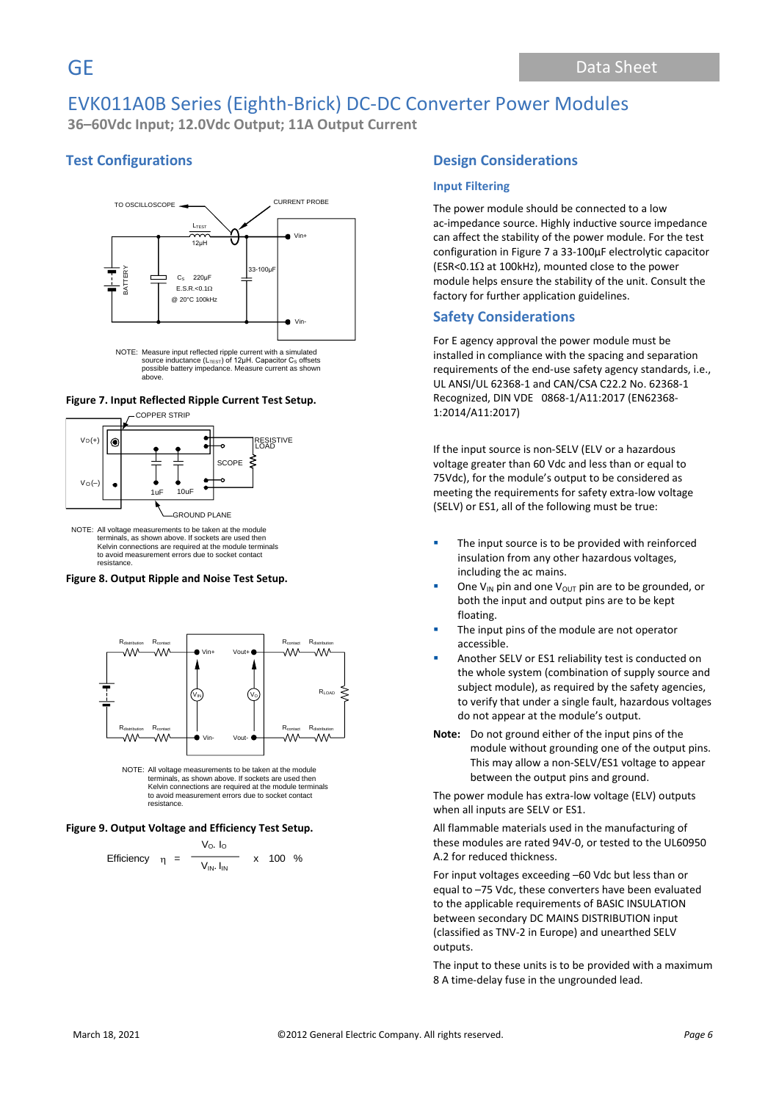**36–60Vdc Input; 12.0Vdc Output; 11A Output Current**

# **Test Configurations**



NOTE: Measure input reflected ripple current with a simulated<br>source inductance (L<sub>TEST</sub>) of 12µH. Capacitor C<sub>s</sub> offsets possible battery impedance. Measure current as shown above.

### **Figure 7. Input Reflected Ripple Current Test Setup.**



NOTE: All voltage measurements to be taken at the module terminals, as shown above. If sockets are used then Kelvin connections are required at the module terminals to avoid measurement errors due to socket contact resistance.

### **Figure 8. Output Ripple and Noise Test Setup.**



NOTE: All voltage measurements to be taken at the module terminals, as shown above. If sockets are used then Kelvin connections are required at the module terminals to avoid measurement errors due to socket contact resistance.

### **Figure 9. Output Voltage and Efficiency Test Setup.**

Efficiency 
$$
\eta = \frac{V_O. I_O}{V_{IN}. I_{IN}}
$$
 x 100 %

### **Design Considerations**

### **Input Filtering**

The power module should be connected to a low ac-impedance source. Highly inductive source impedance can affect the stability of the power module. For the test configuration in Figure 7 a 33-100μF electrolytic capacitor (ESR<0.1 $\Omega$  at 100kHz), mounted close to the power module helps ensure the stability of the unit. Consult the factory for further application guidelines.

### **Safety Considerations**

For E agency approval the power module must be installed in compliance with the spacing and separation requirements of the end-use safety agency standards, i.e., UL ANSI/UL 62368-1 and CAN/CSA C22.2 No. 62368-1 Recognized, DIN VDE 0868-1/A11:2017 (EN62368- 1:2014/A11:2017)

If the input source is non-SELV (ELV or a hazardous voltage greater than 60 Vdc and less than or equal to 75Vdc), for the module's output to be considered as meeting the requirements for safety extra-low voltage (SELV) or ES1, all of the following must be true:

- The input source is to be provided with reinforced insulation from any other hazardous voltages, including the ac mains.
- One V<sub>IN</sub> pin and one V<sub>OUT</sub> pin are to be grounded, or both the input and output pins are to be kept floating.
- The input pins of the module are not operator accessible.
- Another SELV or ES1 reliability test is conducted on the whole system (combination of supply source and subject module), as required by the safety agencies, to verify that under a single fault, hazardous voltages do not appear at the module's output.
- **Note:** Do not ground either of the input pins of the module without grounding one of the output pins. This may allow a non-SELV/ES1 voltage to appear between the output pins and ground.

The power module has extra-low voltage (ELV) outputs when all inputs are SELV or ES1.

All flammable materials used in the manufacturing of these modules are rated 94V-0, or tested to the UL60950 A.2 for reduced thickness.

For input voltages exceeding –60 Vdc but less than or equal to –75 Vdc, these converters have been evaluated to the applicable requirements of BASIC INSULATION between secondary DC MAINS DISTRIBUTION input (classified as TNV-2 in Europe) and unearthed SELV outputs.

The input to these units is to be provided with a maximum 8 A time-delay fuse in the ungrounded lead.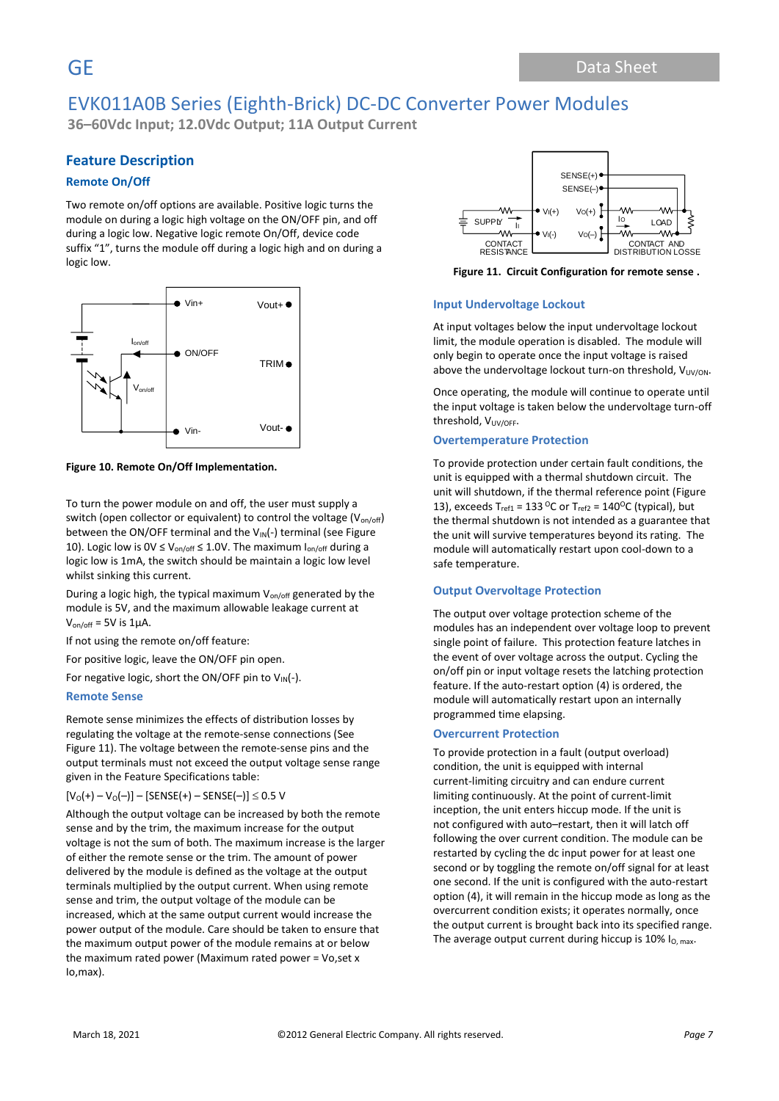**36–60Vdc Input; 12.0Vdc Output; 11A Output Current**

# **Feature Description**

### **Remote On/Off**

Two remote on/off options are available. Positive logic turns the module on during a logic high voltage on the ON/OFF pin, and off during a logic low. Negative logic remote On/Off, device code suffix "1", turns the module off during a logic high and on during a logic low.



**Figure 10. Remote On/Off Implementation.**

To turn the power module on and off, the user must supply a switch (open collector or equivalent) to control the voltage  $(V_{on/off})$ between the ON/OFF terminal and the VIN(-) terminal (see Figure 10). Logic low is  $0V \le V_{on/off} \le 1.0V$ . The maximum  $I_{on/off}$  during a logic low is 1mA, the switch should be maintain a logic low level whilst sinking this current.

During a logic high, the typical maximum  $V_{on/off}$  generated by the module is 5V, and the maximum allowable leakage current at  $V_{on/off}$  = 5V is 1µA.

If not using the remote on/off feature:

For positive logic, leave the ON/OFF pin open.

For negative logic, short the ON/OFF pin to  $V_{IN}(-)$ .

### **Remote Sense**

Remote sense minimizes the effects of distribution losses by regulating the voltage at the remote-sense connections (See Figure 11). The voltage between the remote-sense pins and the output terminals must not exceed the output voltage sense range given in the Feature Specifications table:

### $[V_0(+) - V_0(-)] -$  [SENSE(+) – SENSE(-)]  $\leq$  0.5 V

Although the output voltage can be increased by both the remote sense and by the trim, the maximum increase for the output voltage is not the sum of both. The maximum increase is the larger of either the remote sense or the trim. The amount of power delivered by the module is defined as the voltage at the output terminals multiplied by the output current. When using remote sense and trim, the output voltage of the module can be increased, which at the same output current would increase the power output of the module. Care should be taken to ensure that the maximum output power of the module remains at or below the maximum rated power (Maximum rated power = Vo,set x Io,max).



**Figure 11. Circuit Configuration for remote sense .**

### **Input Undervoltage Lockout**

At input voltages below the input undervoltage lockout limit, the module operation is disabled. The module will only begin to operate once the input voltage is raised above the undervoltage lockout turn-on threshold,  $V_{UV/ON}$ .

Once operating, the module will continue to operate until the input voltage is taken below the undervoltage turn-off threshold, V<sub>UV/OFF</sub>.

### **Overtemperature Protection**

To provide protection under certain fault conditions, the unit is equipped with a thermal shutdown circuit. The unit will shutdown, if the thermal reference point (Figure 13), exceeds  $T_{ref1}$  = 133 <sup>o</sup>C or  $T_{ref2}$  = 140<sup>o</sup>C (typical), but the thermal shutdown is not intended as a guarantee that the unit will survive temperatures beyond its rating. The module will automatically restart upon cool-down to a safe temperature.

### **Output Overvoltage Protection**

The output over voltage protection scheme of the modules has an independent over voltage loop to prevent single point of failure. This protection feature latches in the event of over voltage across the output. Cycling the on/off pin or input voltage resets the latching protection feature. If the auto-restart option (4) is ordered, the module will automatically restart upon an internally programmed time elapsing.

### **Overcurrent Protection**

To provide protection in a fault (output overload) condition, the unit is equipped with internal current-limiting circuitry and can endure current limiting continuously. At the point of current-limit inception, the unit enters hiccup mode. If the unit is not configured with auto–restart, then it will latch off following the over current condition. The module can be restarted by cycling the dc input power for at least one second or by toggling the remote on/off signal for at least one second. If the unit is configured with the auto-restart option (4), it will remain in the hiccup mode as long as the overcurrent condition exists; it operates normally, once the output current is brought back into its specified range. The average output current during hiccup is  $10\%$  I<sub>O, max</sub>.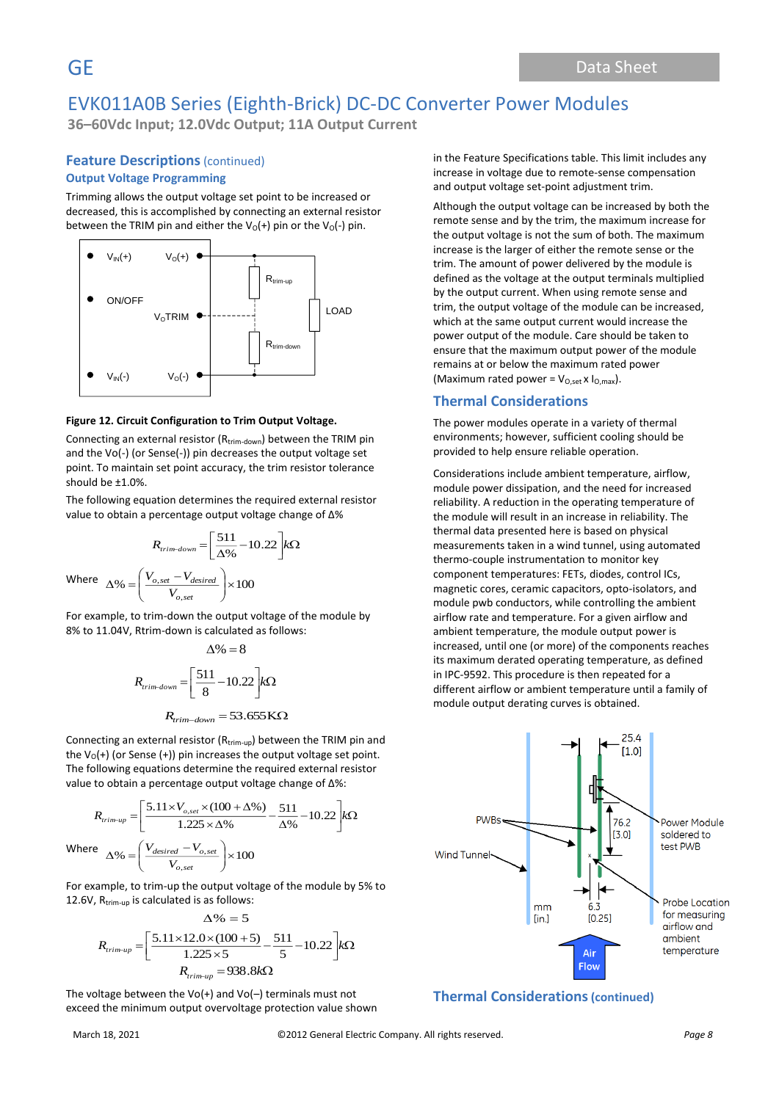**36–60Vdc Input; 12.0Vdc Output; 11A Output Current**

## **Feature Descriptions** (continued) **Output Voltage Programming**

Trimming allows the output voltage set point to be increased or decreased, this is accomplished by connecting an external resistor between the TRIM pin and either the  $V_0(+)$  pin or the  $V_0(-)$  pin.



### **Figure 12. Circuit Configuration to Trim Output Voltage.**

Connecting an external resistor ( $R_{\text{trim-down}}$ ) between the TRIM pin and the Vo(-) (or Sense(-)) pin decreases the output voltage set point. To maintain set point accuracy, the trim resistor tolerance should be ±1.0%.

The following equation determines the required external resistor value to obtain a percentage output voltage change of Δ%

$$
R_{trim-down} = \left[\frac{511}{\Delta\%} - 10.22\right] k\Omega
$$
  
Where 
$$
\Delta\% = \left(\frac{V_{o,set} - V_{desired}}{V_{o,set}}\right) \times 100
$$

For example, to trim-down the output voltage of the module by 8% to 11.04V, Rtrim-down is calculated as follows:

$$
\Delta\% = 8
$$

$$
R_{trim-down} = \left[\frac{511}{8} - 10.22\right] k\Omega
$$

$$
R_{trim-down} = 53.655 \text{ K}\Omega
$$

Connecting an external resistor  $(R_{trim-up})$  between the TRIM pin and the  $V_0(+)$  (or Sense  $(+)$ ) pin increases the output voltage set point. The following equations determine the required external resistor value to obtain a percentage output voltage change of Δ%:

$$
R_{trim-up} = \left[\frac{5.11 \times V_{o,set} \times (100 + \Delta\%)}{1.225 \times \Delta\%} - \frac{511}{\Delta\%} - 10.22\right] k\Omega
$$
  
Where 
$$
\Delta\% = \left(\frac{V_{desired} - V_{o,set}}{V_{o,set}}\right) \times 100
$$

For example, to trim-up the output voltage of the module by 5% to 12.6V, R<sub>trim-up</sub> is calculated is as follows:

$$
\Delta\% = 5
$$
  

$$
R_{\text{trim-up}} = \left[\frac{5.11 \times 12.0 \times (100 + 5)}{1.225 \times 5} - \frac{511}{5} - 10.22\right] k\Omega
$$
  

$$
R_{\text{trim-up}} = 938.8 k\Omega
$$

The voltage between the  $Vo(+)$  and  $Vo(-)$  terminals must not exceed the minimum output overvoltage protection value shown

in the Feature Specifications table. This limit includes any increase in voltage due to remote-sense compensation and output voltage set-point adjustment trim.

Although the output voltage can be increased by both the remote sense and by the trim, the maximum increase for the output voltage is not the sum of both. The maximum increase is the larger of either the remote sense or the trim. The amount of power delivered by the module is defined as the voltage at the output terminals multiplied by the output current. When using remote sense and trim, the output voltage of the module can be increased, which at the same output current would increase the power output of the module. Care should be taken to ensure that the maximum output power of the module remains at or below the maximum rated power (Maximum rated power =  $V_{O,set}$  x  $I_{O,max}$ ).

## **Thermal Considerations**

The power modules operate in a variety of thermal environments; however, sufficient cooling should be provided to help ensure reliable operation.

Considerations include ambient temperature, airflow, module power dissipation, and the need for increased reliability. A reduction in the operating temperature of the module will result in an increase in reliability. The thermal data presented here is based on physical measurements taken in a wind tunnel, using automated thermo-couple instrumentation to monitor key component temperatures: FETs, diodes, control ICs, magnetic cores, ceramic capacitors, opto-isolators, and module pwb conductors, while controlling the ambient airflow rate and temperature. For a given airflow and ambient temperature, the module output power is increased, until one (or more) of the components reaches its maximum derated operating temperature, as defined in IPC-9592. This procedure is then repeated for a different airflow or ambient temperature until a family of module output derating curves is obtained.



### **Thermal Considerations(continued)**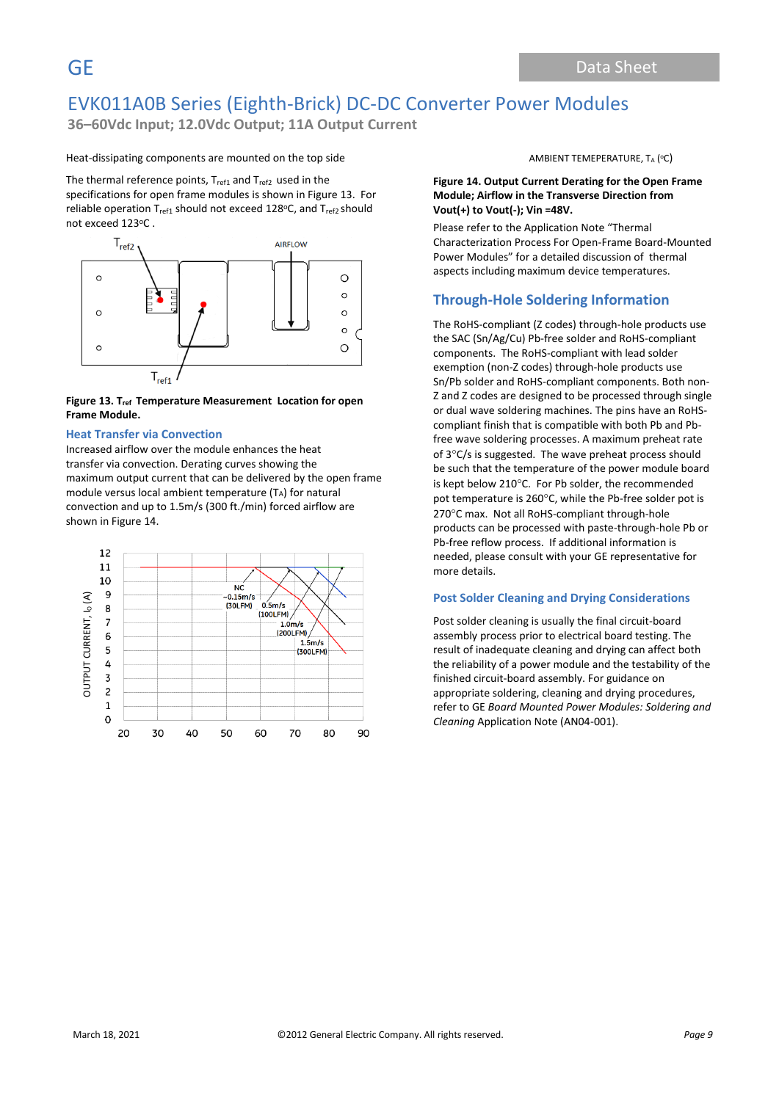**36–60Vdc Input; 12.0Vdc Output; 11A Output Current**

### Heat-dissipating components are mounted on the top side

The thermal reference points,  $T_{ref1}$  and  $T_{ref2}$  used in the specifications for open frame modules is shown in Figure 13. For reliable operation T<sub>ref1</sub> should not exceed 128°C, and T<sub>ref2</sub> should not exceed 123°C .



### **Figure 13. Tref Temperature Measurement Location for open Frame Module.**

### **Heat Transfer via Convection**

Increased airflow over the module enhances the heat transfer via convection. Derating curves showing the maximum output current that can be delivered by the open frame module versus local ambient temperature (TA) for natural convection and up to 1.5m/s (300 ft./min) forced airflow are shown in Figure 14.



AMBIENT TEMEPERATURE,  $T_A$  (°C)

### **Figure 14. Output Current Derating for the Open Frame Module; Airflow in the Transverse Direction from Vout(+) to Vout(-); Vin =48V.**

Please refer to the Application Note "Thermal Characterization Process For Open-Frame Board-Mounted Power Modules" for a detailed discussion of thermal aspects including maximum device temperatures.

## **Through-Hole Soldering Information**

The RoHS-compliant (Z codes) through-hole products use the SAC (Sn/Ag/Cu) Pb-free solder and RoHS-compliant components. The RoHS-compliant with lead solder exemption (non-Z codes) through-hole products use Sn/Pb solder and RoHS-compliant components. Both non-Z and Z codes are designed to be processed through single or dual wave soldering machines. The pins have an RoHScompliant finish that is compatible with both Pb and Pbfree wave soldering processes. A maximum preheat rate of  $3^{\circ}$ C/s is suggested. The wave preheat process should be such that the temperature of the power module board is kept below 210°C. For Pb solder, the recommended pot temperature is 260°C, while the Pb-free solder pot is 270°C max. Not all RoHS-compliant through-hole products can be processed with paste-through-hole Pb or Pb-free reflow process. If additional information is needed, please consult with your GE representative for more details.

### **Post Solder Cleaning and Drying Considerations**

Post solder cleaning is usually the final circuit-board assembly process prior to electrical board testing. The result of inadequate cleaning and drying can affect both the reliability of a power module and the testability of the finished circuit-board assembly. For guidance on appropriate soldering, cleaning and drying procedures, refer to GE *Board Mounted Power Modules: Soldering and Cleaning* Application Note (AN04-001).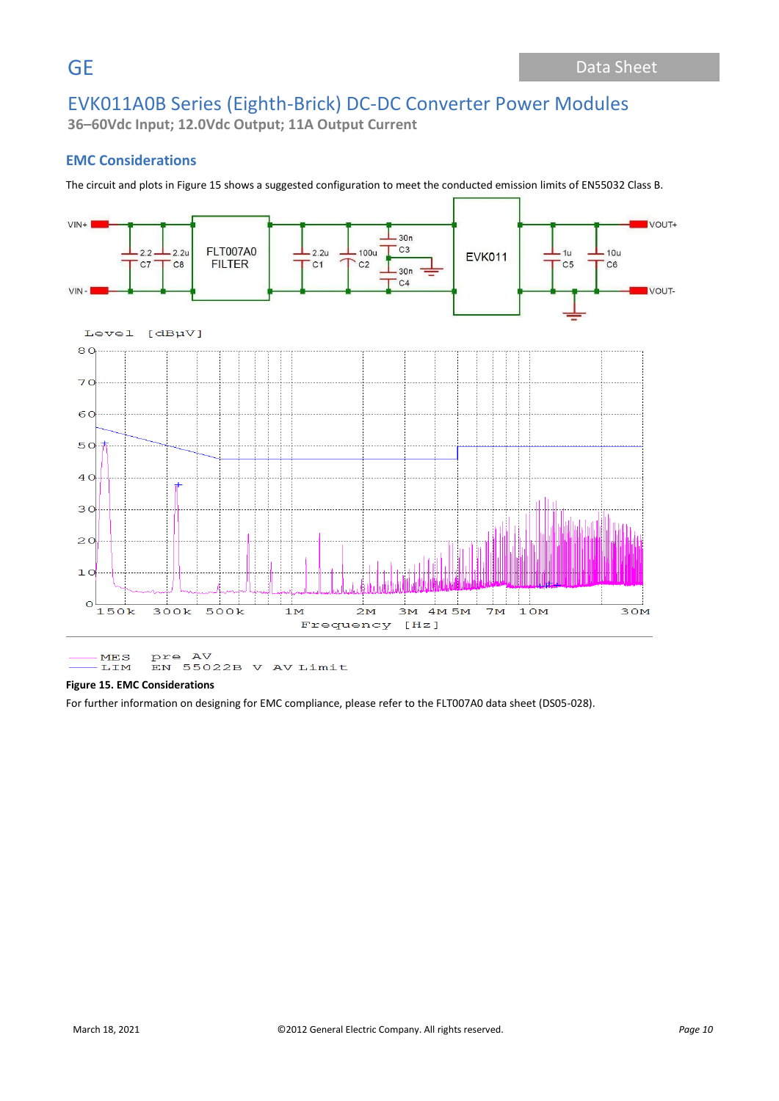**36–60Vdc Input; 12.0Vdc Output; 11A Output Current**

## **EMC Considerations**

The circuit and plots in Figure 15 shows a suggested configuration to meet the conducted emission limits of EN55032 Class B.



pre AV<br>EN 55022B V AV Limit  $MES$ **LIM** 

### **Figure 15. EMC Considerations**

For further information on designing for EMC compliance, please refer to the FLT007A0 data sheet (DS05-028).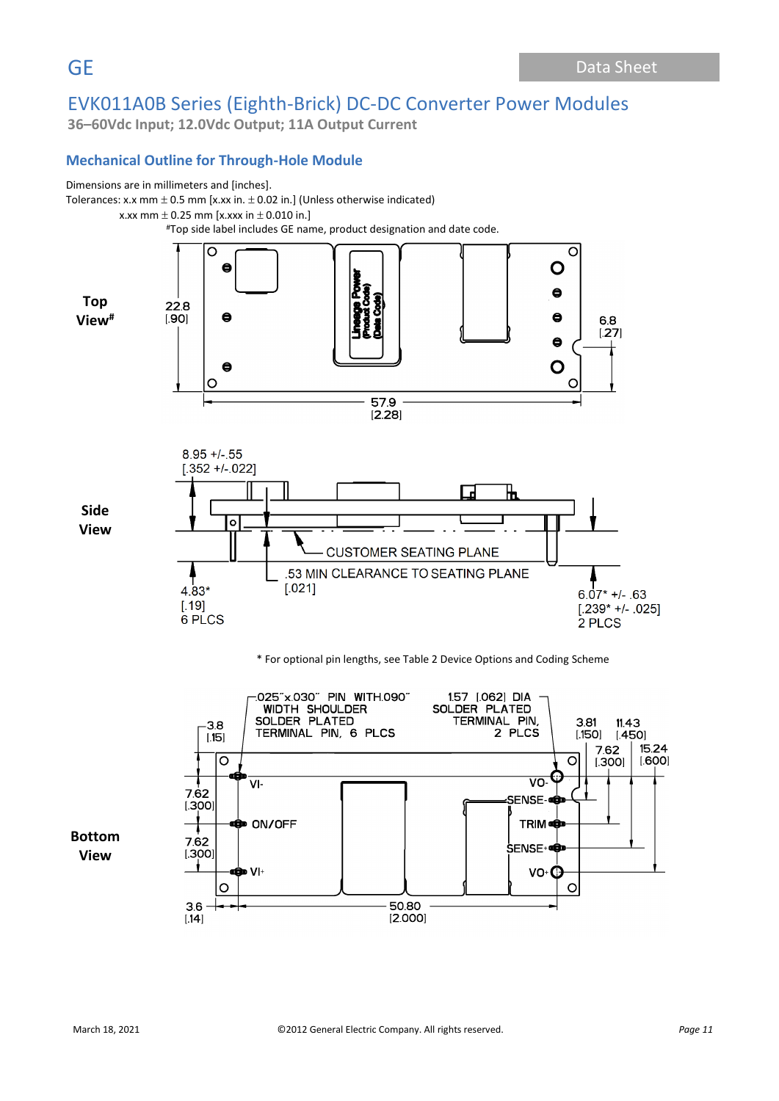**36–60Vdc Input; 12.0Vdc Output; 11A Output Current**

# **Mechanical Outline for Through-Hole Module**



Tolerances: x.x mm  $\pm$  0.5 mm [x.xx in.  $\pm$  0.02 in.] (Unless otherwise indicated)

x.xx mm  $\pm$  0.25 mm [x.xxx in  $\pm$  0.010 in.]

#Top side label includes GE name, product designation and date code.



### \* For optional pin lengths, see Table 2 Device Options and Coding Scheme

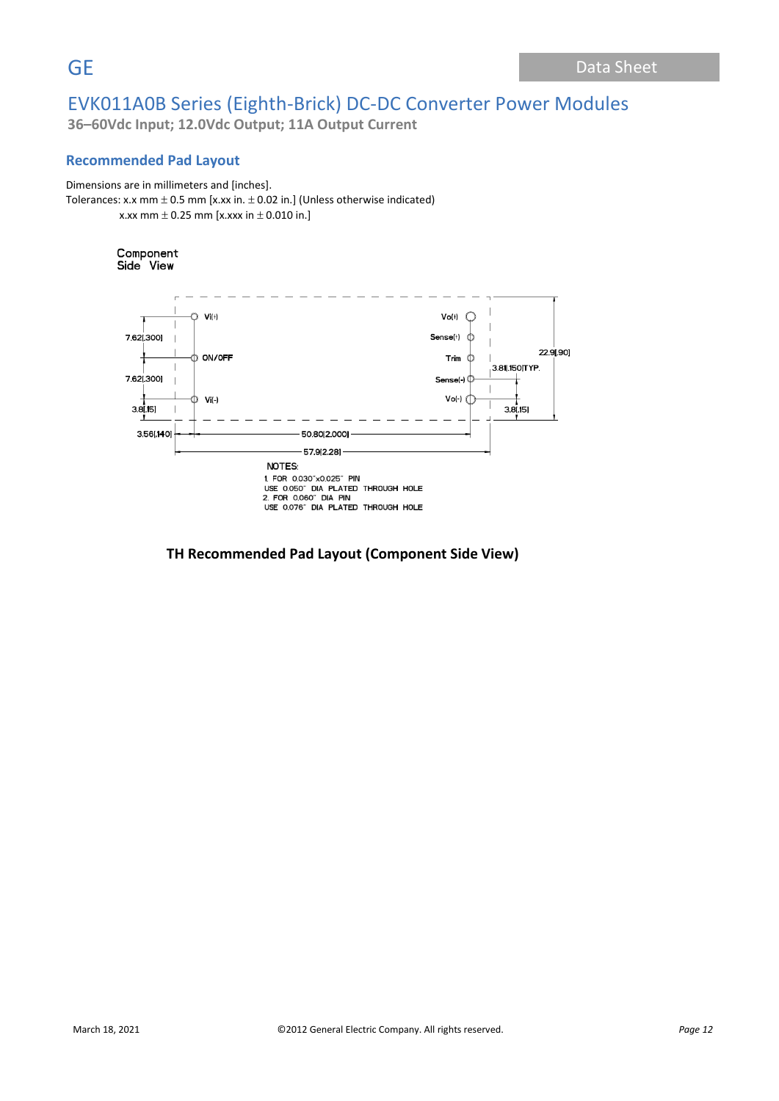**36–60Vdc Input; 12.0Vdc Output; 11A Output Current**

# **Recommended Pad Layout**

### Dimensions are in millimeters and [inches].

```
Tolerances: x.x mm \pm 0.5 mm [x.xx in. \pm 0.02 in.] (Unless otherwise indicated)
x.xx mm \pm 0.25 mm [x.xxx in \pm 0.010 in.]
```
# Component

Side View



## **TH Recommended Pad Layout (Component Side View)**